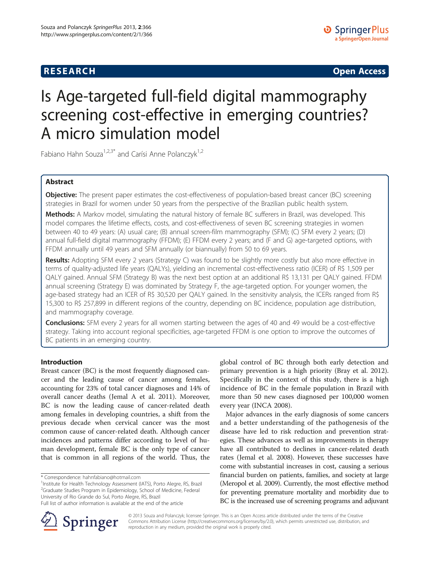## **RESEARCH CHINESE ARCH CHINESE ARCH CHINESE ARCH <b>CHINESE ARCH**

# Is Age-targeted full-field digital mammography screening cost-effective in emerging countries? A micro simulation model

Fabiano Hahn Souza<sup>1,2,3\*</sup> and Carísi Anne Polanczyk<sup>1,2</sup>

## Abstract

Objective: The present paper estimates the cost-effectiveness of population-based breast cancer (BC) screening strategies in Brazil for women under 50 years from the perspective of the Brazilian public health system.

Methods: A Markov model, simulating the natural history of female BC sufferers in Brazil, was developed. This model compares the lifetime effects, costs, and cost-effectiveness of seven BC screening strategies in women between 40 to 49 years: (A) usual care; (B) annual screen-film mammography (SFM); (C) SFM every 2 years; (D) annual full-field digital mammography (FFDM); (E) FFDM every 2 years; and (F and G) age-targeted options, with FFDM annually until 49 years and SFM annually (or biannually) from 50 to 69 years.

Results: Adopting SFM every 2 years (Strategy C) was found to be slightly more costly but also more effective in terms of quality-adjusted life years (QALYs), yielding an incremental cost-effectiveness ratio (ICER) of R\$ 1,509 per QALY gained. Annual SFM (Strategy B) was the next best option at an additional R\$ 13,131 per QALY gained. FFDM annual screening (Strategy E) was dominated by Strategy F, the age-targeted option. For younger women, the age-based strategy had an ICER of R\$ 30,520 per QALY gained. In the sensitivity analysis, the ICERs ranged from R\$ 15,300 to R\$ 257,899 in different regions of the country, depending on BC incidence, population age distribution, and mammography coverage.

**Conclusions:** SFM every 2 years for all women starting between the ages of 40 and 49 would be a cost-effective strategy. Taking into account regional specificities, age-targeted FFDM is one option to improve the outcomes of BC patients in an emerging country.

## Introduction

Breast cancer (BC) is the most frequently diagnosed cancer and the leading cause of cancer among females, accounting for 23% of total cancer diagnoses and 14% of overall cancer deaths (Jemal A et al. [2011](#page-11-0)). Moreover, BC is now the leading cause of cancer-related death among females in developing countries, a shift from the previous decade when cervical cancer was the most common cause of cancer-related death. Although cancer incidences and patterns differ according to level of human development, female BC is the only type of cancer that is common in all regions of the world. Thus, the

\* Correspondence: [hahnfabiano@hotmail.com](mailto:hahnfabiano@hotmail.com) <sup>1</sup>

<sup>1</sup>Institute for Health Technology Assessment (IATS), Porto Alegre, RS, Brazil <sup>2</sup>Graduate Studies Program in Epidemiology, School of Medicine, Federal University of Rio Grande do Sul, Porto Alegre, RS, Brazil

global control of BC through both early detection and primary prevention is a high priority (Bray et al. [2012](#page-10-0)). Specifically in the context of this study, there is a high incidence of BC in the female population in Brazil with more than 50 new cases diagnosed per 100,000 women every year (INCA [2008](#page-10-0)).

Major advances in the early diagnosis of some cancers and a better understanding of the pathogenesis of the disease have led to risk reduction and prevention strategies. These advances as well as improvements in therapy have all contributed to declines in cancer-related death rates (Jemal et al. [2008](#page-11-0)). However, these successes have come with substantial increases in cost, causing a serious financial burden on patients, families, and society at large (Meropol et al. [2009](#page-11-0)). Currently, the most effective method for preventing premature mortality and morbidity due to BC is the increased use of screening programs and adjuvant



© 2013 Souza and Polanczyk; licensee Springer. This is an Open Access article distributed under the terms of the Creative Commons Attribution License (<http://creativecommons.org/licenses/by/2.0>), which permits unrestricted use, distribution, and reproduction in any medium, provided the original work is properly cited.

Full list of author information is available at the end of the article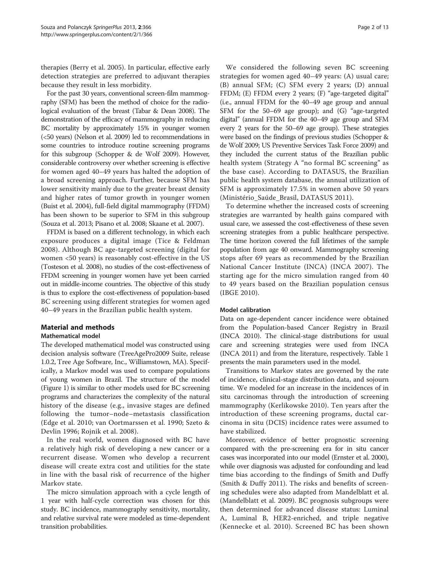therapies (Berry et al. [2005\)](#page-10-0). In particular, effective early detection strategies are preferred to adjuvant therapies because they result in less morbidity.

For the past 30 years, conventional screen-film mammography (SFM) has been the method of choice for the radiological evaluation of the breast (Tabar & Dean [2008](#page-11-0)). The demonstration of the efficacy of mammography in reducing BC mortality by approximately 15% in younger women (<50 years) (Nelson et al. [2009](#page-11-0)) led to recommendations in some countries to introduce routine screening programs for this subgroup (Schopper & de Wolf [2009](#page-11-0)). However, considerable controversy over whether screening is effective for women aged 40–49 years has halted the adoption of a broad screening approach. Further, because SFM has lower sensitivity mainly due to the greater breast density and higher rates of tumor growth in younger women (Buist et al. [2004](#page-10-0)), full-field digital mammography (FFDM) has been shown to be superior to SFM in this subgroup (Souza et al. [2013;](#page-11-0) Pisano et al. [2008](#page-11-0); Skaane et al. [2007\)](#page-11-0).

FFDM is based on a different technology, in which each exposure produces a digital image (Tice & Feldman [2008](#page-11-0)). Although BC age-targeted screening (digital for women <50 years) is reasonably cost-effective in the US (Tosteson et al. [2008\)](#page-11-0), no studies of the cost-effectiveness of FFDM screening in younger women have yet been carried out in middle-income countries. The objective of this study is thus to explore the cost-effectiveness of population-based BC screening using different strategies for women aged 40–49 years in the Brazilian public health system.

## Material and methods

## Mathematical model

The developed mathematical model was constructed using decision analysis software (TreeAgePro2009 Suite, release 1.0.2, Tree Age Software, Inc., Williamstown, MA). Specifically, a Markov model was used to compare populations of young women in Brazil. The structure of the model (Figure [1](#page-2-0)) is similar to other models used for BC screening programs and characterizes the complexity of the natural history of the disease (e.g., invasive stages are defined following the tumor–node–metastasis classification (Edge et al. [2010](#page-10-0); van Oortmarssen et al. [1990](#page-11-0); Szeto & Devlin [1996;](#page-11-0) Rojnik et al. [2008](#page-11-0)).

In the real world, women diagnosed with BC have a relatively high risk of developing a new cancer or a recurrent disease. Women who develop a recurrent disease will create extra cost and utilities for the state in line with the basal risk of recurrence of the higher Markov state.

The micro simulation approach with a cycle length of 1 year with half-cycle correction was chosen for this study. BC incidence, mammography sensitivity, mortality, and relative survival rate were modeled as time-dependent transition probabilities.

We considered the following seven BC screening strategies for women aged 40–49 years: (A) usual care; (B) annual SFM; (C) SFM every 2 years; (D) annual FFDM; (E) FFDM every 2 years; (F) "age-targeted digital" (i.e., annual FFDM for the 40–49 age group and annual SFM for the 50–69 age group); and (G) "age-targeted digital" (annual FFDM for the 40–49 age group and SFM every 2 years for the 50–69 age group). These strategies were based on the findings of previous studies (Schopper & de Wolf [2009;](#page-11-0) US Preventive Services Task Force [2009](#page-11-0)) and they included the current status of the Brazilian public health system (Strategy A "no formal BC screening" as the base case). According to DATASUS, the Brazilian public health system database, the annual utilization of SFM is approximately 17.5% in women above 50 years (Ministério\_Saúde\_Brasil, DATASUS [2011](#page-11-0)).

To determine whether the increased costs of screening strategies are warranted by health gains compared with usual care, we assessed the cost-effectiveness of these seven screening strategies from a public healthcare perspective. The time horizon covered the full lifetimes of the sample population from age 40 onward. Mammography screening stops after 69 years as recommended by the Brazilian National Cancer Institute (INCA) (INCA [2007\)](#page-10-0). The starting age for the micro simulation ranged from 40 to 49 years based on the Brazilian population census (IBGE [2010\)](#page-10-0).

#### Model calibration

Data on age-dependent cancer incidence were obtained from the Population-based Cancer Registry in Brazil (INCA [2010\)](#page-11-0). The clinical-stage distributions for usual care and screening strategies were used from INCA (INCA [2011](#page-11-0)) and from the literature, respectively. Table [1](#page-3-0) presents the main parameters used in the model.

Transitions to Markov states are governed by the rate of incidence, clinical-stage distribution data, and sojourn time. We modeled for an increase in the incidences of in situ carcinomas through the introduction of screening mammography (Kerlikowske [2010](#page-11-0)). Ten years after the introduction of these screening programs, ductal carcinoma in situ (DCIS) incidence rates were assumed to have stabilized.

Moreover, evidence of better prognostic screening compared with the pre-screening era for in situ cancer cases was incorporated into our model (Ernster et al. [2000](#page-10-0)), while over diagnosis was adjusted for confounding and lead time bias according to the findings of Smith and Duffy (Smith & Duffy [2011](#page-11-0)). The risks and benefits of screening schedules were also adapted from Mandelblatt et al. (Mandelblatt et al. [2009](#page-11-0)). BC prognosis subgroups were then determined for advanced disease status: Luminal A, Luminal B, HER2-enriched, and triple negative (Kennecke et al. [2010\)](#page-11-0). Screened BC has been shown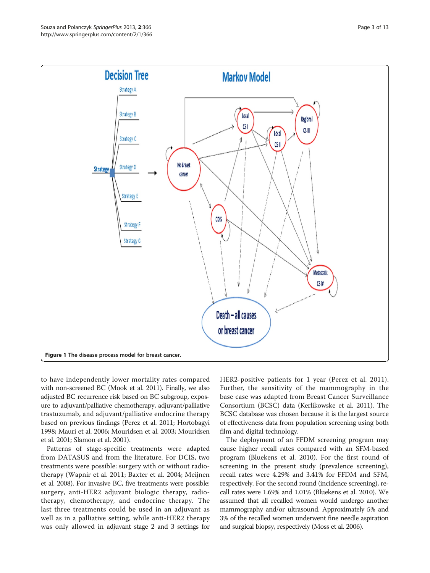<span id="page-2-0"></span>

to have independently lower mortality rates compared with non-screened BC (Mook et al. [2011](#page-11-0)). Finally, we also adjusted BC recurrence risk based on BC subgroup, exposure to adjuvant/palliative chemotherapy, adjuvant/palliative trastuzumab, and adjuvant/palliative endocrine therapy based on previous findings (Perez et al. [2011](#page-11-0); Hortobagyi [1998;](#page-10-0) Mauri et al. [2006](#page-11-0); Mouridsen et al. [2003;](#page-11-0) Mouridsen et al. [2001](#page-11-0); Slamon et al. [2001\)](#page-11-0).

Patterns of stage-specific treatments were adapted from DATASUS and from the literature. For DCIS, two treatments were possible: surgery with or without radiotherapy (Wapnir et al. [2011](#page-12-0); Baxter et al. [2004;](#page-10-0) Meijnen et al. [2008\)](#page-11-0). For invasive BC, five treatments were possible: surgery, anti-HER2 adjuvant biologic therapy, radiotherapy, chemotherapy, and endocrine therapy. The last three treatments could be used in an adjuvant as well as in a palliative setting, while anti-HER2 therapy was only allowed in adjuvant stage 2 and 3 settings for HER2-positive patients for 1 year (Perez et al. [2011](#page-11-0)). Further, the sensitivity of the mammography in the base case was adapted from Breast Cancer Surveillance Consortium (BCSC) data (Kerlikowske et al. [2011](#page-11-0)). The BCSC database was chosen because it is the largest source of effectiveness data from population screening using both film and digital technology.

The deployment of an FFDM screening program may cause higher recall rates compared with an SFM-based program (Bluekens et al. [2010](#page-10-0)). For the first round of screening in the present study (prevalence screening), recall rates were 4.29% and 3.41% for FFDM and SFM, respectively. For the second round (incidence screening), recall rates were 1.69% and 1.01% (Bluekens et al. [2010](#page-10-0)). We assumed that all recalled women would undergo another mammography and/or ultrasound. Approximately 5% and 3% of the recalled women underwent fine needle aspiration and surgical biopsy, respectively (Moss et al. [2006](#page-11-0)).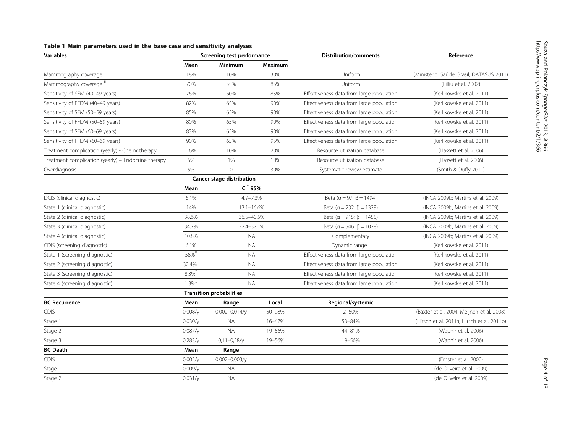<span id="page-3-0"></span>

|  |  | Table 1 Main parameters used in the base case and sensitivity analyses |  |  |  |  |  |  |
|--|--|------------------------------------------------------------------------|--|--|--|--|--|--|
|--|--|------------------------------------------------------------------------|--|--|--|--|--|--|

| <b>Variables</b>                                    | Screening test performance      |                           |                | <b>Distribution/comments</b>             | Reference                                  |  |
|-----------------------------------------------------|---------------------------------|---------------------------|----------------|------------------------------------------|--------------------------------------------|--|
|                                                     | Mean                            | Minimum                   | <b>Maximum</b> |                                          |                                            |  |
| Mammography coverage                                | 18%                             | 10%<br>30%                |                | Uniform                                  | (Ministério_Saúde_Brasil, DATASUS 2011)    |  |
| Mammography coverage "                              | 70%                             | 55%                       | 85%            | Uniform                                  | (Lilliu et al. 2002)                       |  |
| Sensitivity of SFM (40-49 years)                    | 76%                             | 60%                       | 85%            | Effectiveness data from large population | (Kerlikowske et al. 2011)                  |  |
| Sensitivity of FFDM (40-49 years)                   | 82%                             | 65%                       | 90%            | Effectiveness data from large population | (Kerlikowske et al. 2011)                  |  |
| Sensitivity of SFM (50-59 years)                    | 85%                             | 65%                       | 90%            | Effectiveness data from large population | (Kerlikowske et al. 2011)                  |  |
| Sensitivity of FFDM (50-59 years)                   | 80%                             | 65%                       | 90%            | Effectiveness data from large population | (Kerlikowske et al. 2011)                  |  |
| Sensitivity of SFM (60-69 years)                    | 83%                             | 65%                       | 90%            | Effectiveness data from large population | (Kerlikowske et al. 2011)                  |  |
| Sensitivity of FFDM (60-69 years)                   | 90%                             | 65%                       | 95%            | Effectiveness data from large population | (Kerlikowske et al. 2011)                  |  |
| Treatment complication (yearly) - Chemotherapy      | 16%                             | 10%                       | 20%            | Resource utilization database            | (Hassett et al. 2006)                      |  |
| Treatment complication (yearly) - Endocrine therapy | 5%                              | 1%                        | 10%            | Resource utilization database            | (Hassett et al. 2006)                      |  |
| Overdiagnosis                                       | 5%                              | $\mathbf{0}$              | 30%            | Systematic review estimate               | (Smith & Duffy 2011)                       |  |
|                                                     |                                 | Cancer stage distribution |                |                                          |                                            |  |
|                                                     | Mean                            | $CI^*$ 95%                |                |                                          |                                            |  |
| DCIS (clinical diagnostic)                          | 6.1%                            | 4.9-7.3%                  |                | Beta ( $\alpha = 97; \beta = 1494$ )     | (INCA 2009b; Martins et al. 2009)          |  |
| State 1 (clinical diagnostic)                       | 14%                             | $13.1 - 16.6%$            |                | Beta ( $\alpha$ = 232; $\beta$ = 1329)   | (INCA 2009b; Martins et al. 2009)          |  |
| State 2 (clinical diagnostic)                       | 38.6%                           | 36.5-40.5%                |                | Beta ( $\alpha$ = 915; $\beta$ = 1455)   | (INCA 2009b; Martins et al. 2009)          |  |
| State 3 (clinical diagnostic)                       | 34.7%                           | 32.4-37.1%                |                | Beta ( $\alpha$ = 546; $\beta$ = 1028)   | (INCA 2009b; Martins et al. 2009)          |  |
| State 4 (clinical diagnostic)                       | 10.8%                           | <b>NA</b>                 |                | Complementary                            | (INCA 2009b; Martins et al. 2009)          |  |
| CDIS (screening diagnostic)                         | 6.1%                            | <b>NA</b>                 |                | Dynamic range                            | (Kerlikowske et al. 2011)                  |  |
| State 1 (screening diagnostic)                      | $58\%$                          | <b>NA</b>                 |                | Effectiveness data from large population | (Kerlikowske et al. 2011)                  |  |
| State 2 (screening diagnostic)                      | 32.4% <sup>=</sup>              | <b>NA</b>                 |                | Effectiveness data from large population | (Kerlikowske et al. 2011)                  |  |
| State 3 (screening diagnostic)                      | $8.3\%$                         | <b>NA</b>                 |                | Effectiveness data from large population | (Kerlikowske et al. 2011)                  |  |
| State 4 (screening diagnostic)                      | $1.3\%^{\bar{2}}$               | <b>NA</b>                 |                | Effectiveness data from large population | (Kerlikowske et al. 2011)                  |  |
|                                                     | <b>Transition probabilities</b> |                           |                |                                          |                                            |  |
| <b>BC Recurrence</b>                                | Mean                            | Range                     | Local          | Regional/systemic                        |                                            |  |
| CDIS                                                | 0.008/y                         | $0.002 - 0.014/y$         | 50-98%         | $2 - 50%$                                | (Baxter et al. 2004; Meijnen et al. 2008)  |  |
| Stage 1                                             | 0.030/v                         | <b>NA</b>                 | 16-47%         | 53-84%                                   | (Hirsch et al. 2011a; Hirsch et al. 2011b) |  |
| Stage 2                                             | 0.087/y                         | <b>NA</b>                 | 19-56%         | 44-81%                                   | (Wapnir et al. 2006)                       |  |
| Stage 3                                             | 0.283/y                         | $0,11-0,28/y$<br>19-56%   |                | 19-56%                                   | (Wapnir et al. 2006)                       |  |
| <b>BC</b> Death                                     | Mean                            | Range                     |                |                                          |                                            |  |
| CDIS                                                | 0.002/y                         | $0.002 - 0.003/y$         |                |                                          | (Ernster et al. 2000)                      |  |
| Stage 1                                             | 0.009/v                         | <b>NA</b>                 |                |                                          | (de Oliveira et al. 2009)                  |  |
| Stage 2                                             | 0.031/y                         | <b>NA</b>                 |                |                                          | (de Oliveira et al. 2009)                  |  |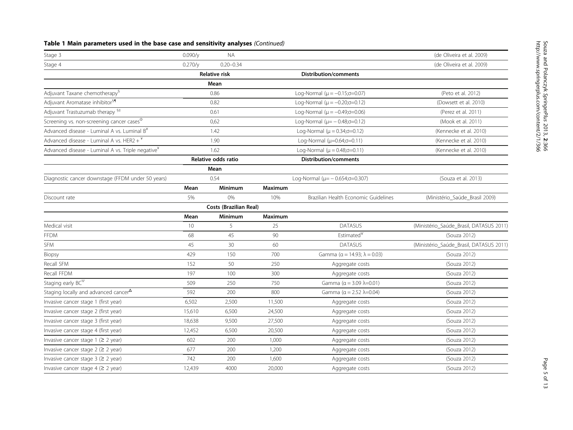## Table 1 Main parameters used in the base case and sensitivity analyses (Continued)

| Stage 3                                                       | $0.090/\text{V}$     | <b>NA</b>                     |                           |                                                   | (de Oliveira et al. 2009)               |  |
|---------------------------------------------------------------|----------------------|-------------------------------|---------------------------|---------------------------------------------------|-----------------------------------------|--|
| Stage 4                                                       | 0.270/v              | $0.20 - 0.34$                 |                           |                                                   | (de Oliveira et al. 2009)               |  |
|                                                               | <b>Relative risk</b> |                               |                           | Distribution/comments                             |                                         |  |
|                                                               |                      | Mean                          |                           |                                                   |                                         |  |
| Adjuvant Taxane chemotherapy <sup>§</sup>                     |                      | 0.86                          |                           | Log-Normal ( $\mu = -0.15; \sigma = 0.07$ )       | (Peto et al. 2012)                      |  |
| Adjuvant Aromatase inhibitor <sup>§1</sup>                    |                      | 0.82                          |                           | Log-Normal ( $\mu = -0.20; \sigma = 0.12$ )       | (Dowsett et al. 2010)                   |  |
| Adjuvant Trastuzumab therapy <sup>§‡</sup>                    |                      | 0.61                          |                           | Log-Normal ( $\mu = -0.49$ ; $\sigma = 0.06$ )    | (Perez et al. 2011)                     |  |
| Screening vs. non-screening cancer cases®                     |                      | 0,62                          |                           | Log-Normal ( $\mu$ = -0.48; $\sigma$ =0.12)       | (Mook et al. 2011)                      |  |
| Advanced disease - Luminal A vs. Luminal B <sup>¥</sup>       |                      | 1.42                          |                           | Log-Normal ( $\mu$ = 0.34; $\sigma$ =0.12)        | (Kennecke et al. 2010)                  |  |
| Advanced disease - Luminal A vs. HER2 + $*$                   |                      | 1.90                          |                           | Log-Normal (µ=0.64;o=0.11)                        | (Kennecke et al. 2010)                  |  |
| Advanced disease - Luminal A vs. Triple negative <sup>¥</sup> | 1.62                 |                               |                           | Log-Normal ( $\mu$ = 0.48; $\sigma$ =0.11)        | (Kennecke et al. 2010)                  |  |
|                                                               | Relative odds ratio  |                               |                           | <b>Distribution/comments</b>                      |                                         |  |
|                                                               |                      | Mean                          |                           |                                                   |                                         |  |
| Diagnostic cancer downstage (FFDM under 50 years)             | 0.54                 |                               |                           | Log-Normal ( $\mu$ = $-$ 0.654; $\sigma$ = 0.307) | (Souza et al. 2013)                     |  |
|                                                               | Mean                 | <b>Minimum</b>                | Maximum                   |                                                   |                                         |  |
| Discount rate                                                 | 5%                   | 0%                            | 10%                       | Brazilian Health Economic Guidelines              | (Ministério_Saúde_Brasil 2009)          |  |
|                                                               |                      | <b>Costs (Brazilian Real)</b> |                           |                                                   |                                         |  |
|                                                               | Mean                 | Minimum                       | <b>Maximum</b>            |                                                   |                                         |  |
| Medical visit                                                 | 10                   | 5                             | 25                        | <b>DATASUS</b>                                    | (Ministério_Saúde_Brasil, DATASUS 2011) |  |
| <b>FFDM</b>                                                   | 68                   | 45                            | 90                        | Estimated <sup>V</sup>                            | (Souza 2012)                            |  |
| SFM                                                           | 45                   | 30                            | 60                        | <b>DATASUS</b>                                    | (Ministério_Saúde_Brasil, DATASUS 2011) |  |
| Biopsy                                                        | 429                  | 150                           | 700                       | Gamma ( $\alpha$ = 14.93; $\lambda$ = 0.03)       | (Souza 2012)                            |  |
| Recall SFM                                                    | 152                  | 50                            | 250                       | Aggregate costs                                   | (Souza 2012)                            |  |
| Recall FFDM                                                   | 197                  | 100                           | 300                       | Aggregate costs                                   | (Souza 2012)                            |  |
| Staging early BC <sup>Ψ</sup>                                 | 509                  | 250                           | 750                       | Gamma ( $\alpha$ = 3.09 $\lambda$ =0.01)          | (Souza 2012)                            |  |
| Staging locally and advanced cancer $^{\Delta}$               | 592                  | 200                           | 800                       | Gamma ( $α = 2.52λ = 0.04$ )                      | (Souza 2012)                            |  |
| Invasive cancer stage 1 (first year)                          | 6,502                | 2,500                         | 11,500                    | Aggregate costs                                   | (Souza 2012)                            |  |
| Invasive cancer stage 2 (first year)                          | 15,610               | 6,500                         | 24,500                    | Aggregate costs                                   | (Souza 2012)                            |  |
| Invasive cancer stage 3 (first year)                          | 18,638               | 9,500                         | 27,500                    | Aggregate costs                                   | (Souza 2012)                            |  |
| Invasive cancer stage 4 (first year)                          | 12,452               | 6,500                         | 20,500<br>Aggregate costs |                                                   | (Souza 2012)                            |  |
| Invasive cancer stage $1$ ( $\geq$ 2 year)                    | 602                  | 200                           | 1,000<br>Aggregate costs  |                                                   | (Souza 2012)                            |  |
| Invasive cancer stage $2$ ( $\geq$ 2 year)                    | 677                  | 200                           | 1,200                     | Aggregate costs                                   | (Souza 2012)                            |  |
| Invasive cancer stage $3$ ( $\geq$ 2 year)                    | 742                  | 200                           | 1,600<br>Aggregate costs  |                                                   | (Souza 2012)                            |  |
| Invasive cancer stage $4$ ( $\geq$ 2 year)                    | 12,439               | 4000                          | 20,000                    | Aggregate costs                                   | (Souza 2012)                            |  |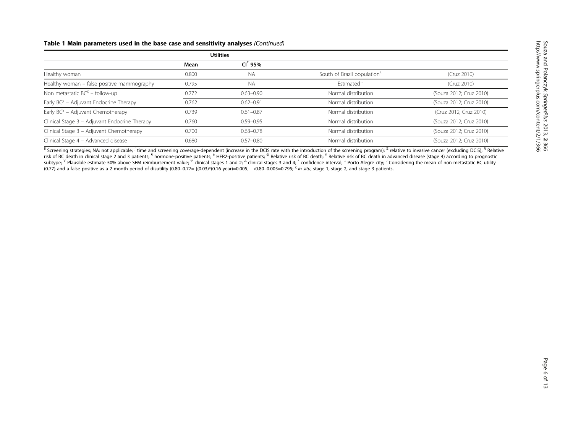#### Table 1 Main parameters used in the base case and sensitivity analyses (Continued)

|                                               |       | <b>Utilities</b>    |                                         |                         |
|-----------------------------------------------|-------|---------------------|-----------------------------------------|-------------------------|
|                                               | Mean  | CI <sup>*</sup> 95% |                                         |                         |
| Healthy woman                                 | 0.800 | <b>NA</b>           | South of Brazil population <sup>+</sup> | (Cruz 2010)             |
| Healthy woman - false positive mammography    | 0.795 | <b>NA</b>           | <b>Fstimated</b> <sup>:</sup>           | (Cruz 2010)             |
| Non metastatic $BC^X$ – follow-up             | 0.772 | $0.63 - 0.90$       | Normal distribution                     | (Souza 2012; Cruz 2010) |
| Early $BC^X$ – Adjuvant Endocrine Therapy     | 0.762 | $0.62 - 0.91$       | Normal distribution                     | (Souza 2012; Cruz 2010) |
| Early $BC^X$ – Adjuvant Chemotherapy          | 0.739 | $0.61 - 0.87$       | Normal distribution                     | (Cruz 2012; Cruz 2010)  |
| Clinical Stage 3 - Adjuvant Endocrine Therapy | 0.760 | $0.59 - 0.95$       | Normal distribution                     | (Souza 2012; Cruz 2010) |
| Clinical Stage 3 - Adjuvant Chemotherapy      | 0.700 | $0.63 - 0.78$       | Normal distribution                     | (Souza 2012; Cruz 2010) |
| Clinical Stage 4 - Advanced disease           | 0.680 | $0.57 - 0.80$       | Normal distribution                     | (Souza 2012; Cruz 2010) |

<u><sup>II</sup></u> Screening strategies; NA: not applicable; <sup>∫</sup> time and screening coverage-dependent (increase in the DCIS rate with the introduction of the screening program); <sup>Ξ</sup> relative to invasive cancer (excluding DCIS); <sup>§</sup> risk of BC death in clinical stage 2 and 3 patients; <sup>1</sup> hormone-positive patients; <sup>†</sup> HER2-positive patients; <sup>Φ</sup> Relative risk of BC death; <sup>¥</sup> Relative risk of BC death in advanced disease (stage 4) according to progn subtype; <sup>∀</sup> Plausible estimate 50% above SFM reimbursement value; <sup>Ψ</sup> clinical stages 1 and 2; <sup>Δ</sup> clinical stages 3 and 4; \* confidence interval; <sup>⊥</sup> Porto Alegre city; ∴Considering the mean of non-metastatic BC utility  $(0.77)$  and a false positive as a 2-month period of disutility  $(0.80 - 0.77 = [(0.03)*(0.16 year) = 0.005]$   $\rightarrow$  0.80-0.005=0.795; <sup>x</sup> in situ, stage 1, stage 2, and stage 3 patients.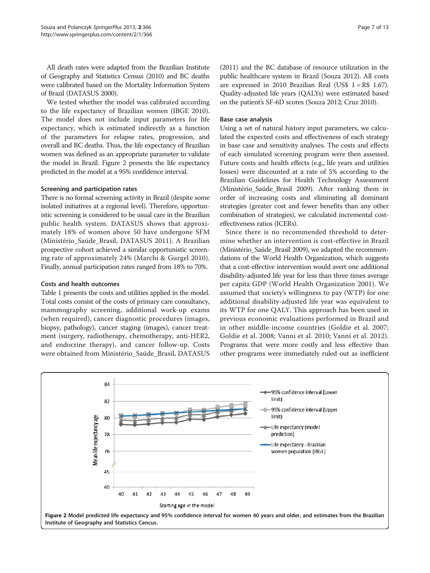All death rates were adapted from the Brazilian Institute of Geography and Statistics Census (2010) and BC deaths were calibrated based on the Mortality Information System of Brazil (DATASUS [2000\)](#page-10-0).

We tested whether the model was calibrated according to the life expectancy of Brazilian women (IBGE [2010](#page-10-0)). The model does not include input parameters for life expectancy, which is estimated indirectly as a function of the parameters for relapse rates, progression, and overall and BC deaths. Thus, the life expectancy of Brazilian women was defined as an appropriate parameter to validate the model in Brazil. Figure 2 presents the life expectancy predicted in the model at a 95% confidence interval.

#### Screening and participation rates

There is no formal screening activity in Brazil (despite some isolated initiatives at a regional level). Therefore, opportunistic screening is considered to be usual care in the Brazilian public health system. DATASUS shows that approximately 18% of women above 50 have undergone SFM (Ministério\_Saúde\_Brasil, DATASUS [2011\)](#page-11-0). A Brazilian prospective cohort achieved a similar opportunistic screening rate of approximately 24% (Marchi & Gurgel [2010\)](#page-11-0). Finally, annual participation rates ranged from 18% to 70%.

#### Costs and health outcomes

Table [1](#page-3-0) presents the costs and utilities applied in the model. Total costs consist of the costs of primary care consultancy, mammography screening, additional work-up exams (when required), cancer diagnostic procedures (images, biopsy, pathology), cancer staging (images), cancer treatment (surgery, radiotherapy, chemotherapy, anti-HER2, and endocrine therapy), and cancer follow-up. Costs were obtained from Ministério\_Saúde\_Brasil, DATASUS

([2011](#page-11-0)) and the BC database of resource utilization in the public healthcare system in Brazil (Souza [2012\)](#page-11-0). All costs are expressed in 2010 Brazilian Real (US\$  $1 = R$ 1.67$ ). Quality-adjusted life years (QALYs) were estimated based on the patient's SF-6D scores (Souza [2012](#page-11-0); Cruz [2010](#page-10-0)).

## Base case analysis

Using a set of natural history input parameters, we calculated the expected costs and effectiveness of each strategy in base case and sensitivity analyses. The costs and effects of each simulated screening program were then assessed. Future costs and health effects (e.g., life years and utilities losses) were discounted at a rate of 5% according to the Brazilian Guidelines for Health Technology Assessment (Ministério\_Saúde\_Brasil [2009\)](#page-11-0). After ranking them in order of increasing costs and eliminating all dominant strategies (greater cost and fewer benefits than any other combination of strategies), we calculated incremental costeffectiveness ratios (ICERs).

Since there is no recommended threshold to determine whether an intervention is cost-effective in Brazil (Ministério\_Saúde\_Brasil [2009\)](#page-11-0), we adapted the recommendations of the World Health Organization, which suggests that a cost-effective intervention would avert one additional disability-adjusted life year for less than three times average per capita GDP (World Health Organization [2001](#page-12-0)). We assumed that society's willingness to pay (WTP) for one additional disability-adjusted life year was equivalent to its WTP for one QALY. This approach has been used in previous economic evaluations performed in Brazil and in other middle-income countries (Goldie et al. [2007](#page-10-0); Goldie et al. [2008;](#page-10-0) Vanni et al. [2010](#page-11-0); Vanni et al. [2012](#page-12-0)). Programs that were more costly and less effective than other programs were immediately ruled out as inefficient

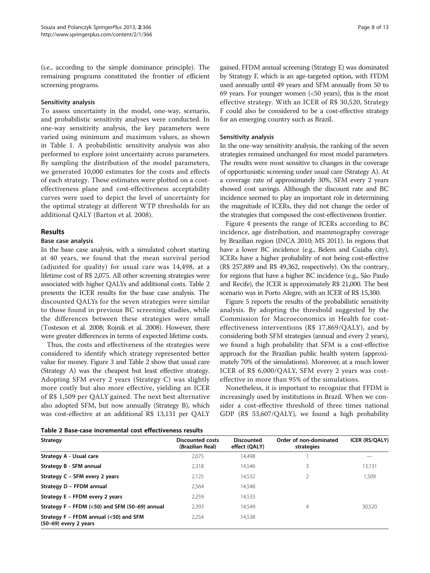(i.e., according to the simple dominance principle). The remaining programs constituted the frontier of efficient screening programs.

#### Sensitivity analysis

To assess uncertainty in the model, one-way, scenario, and probabilistic sensitivity analyses were conducted. In one-way sensitivity analysis, the key parameters were varied using minimum and maximum values, as shown in Table [1.](#page-3-0) A probabilistic sensitivity analysis was also performed to explore joint uncertainty across parameters. By sampling the distribution of the model parameters, we generated 10,000 estimates for the costs and effects of each strategy. These estimates were plotted on a costeffectiveness plane and cost-effectiveness acceptability curves were used to depict the level of uncertainty for the optimal strategy at different WTP thresholds for an additional QALY (Barton et al. [2008](#page-10-0)).

## Results

#### Base case analysis

In the base case analysis, with a simulated cohort starting at 40 years, we found that the mean survival period (adjusted for quality) for usual care was 14,498, at a lifetime cost of R\$ 2,075. All other screening strategies were associated with higher QALYs and additional costs. Table 2 presents the ICER results for the base case analysis. The discounted QALYs for the seven strategies were similar to those found in previous BC screening studies, while the differences between these strategies were small (Tosteson et al. [2008](#page-11-0); Rojnik et al. [2008\)](#page-11-0). However, there were greater differences in terms of expected lifetime costs.

Thus, the costs and effectiveness of the strategies were considered to identify which strategy represented better value for money. Figure [3](#page-8-0) and Table 2 show that usual care (Strategy A) was the cheapest but least effective strategy. Adopting SFM every 2 years (Strategy C) was slightly more costly but also more effective, yielding an ICER of R\$ 1,509 per QALY gained. The next best alternative also adopted SFM, but now annually (Strategy B), which was cost-effective at an additional R\$ 13,131 per QALY

gained. FFDM annual screening (Strategy E) was dominated by Strategy F, which is an age-targeted option, with FFDM used annually until 49 years and SFM annually from 50 to 69 years. For younger women (<50 years), this is the most effective strategy. With an ICER of R\$ 30,520, Strategy F could also be considered to be a cost-effective strategy for an emerging country such as Brazil.

#### Sensitivity analysis

In the one-way sensitivity analysis, the ranking of the seven strategies remained unchanged for most model parameters. The results were most sensitive to changes in the coverage of opportunistic screening under usual care (Strategy A). At a coverage rate of approximately 30%, SFM every 2 years showed cost savings. Although the discount rate and BC incidence seemed to play an important role in determining the magnitude of ICERs, they did not change the order of the strategies that composed the cost-effectiveness frontier.

Figure [4](#page-8-0) presents the range of ICERs according to BC incidence, age distribution, and mammography coverage by Brazilian region (INCA [2010;](#page-11-0) MS [2011\)](#page-11-0). In regions that have a lower BC incidence (e.g., Belem and Cuiaba city), ICERs have a higher probability of not being cost-effective (R\$ 257,889 and R\$ 49,362, respectively). On the contrary, for regions that have a higher BC incidence (e.g., São Paulo and Recife), the ICER is approximately R\$ 21,000. The best scenario was in Porto Alegre, with an ICER of R\$ 15,300.

Figure [5](#page-9-0) reports the results of the probabilistic sensitivity analysis. By adopting the threshold suggested by the Commission for Macroeconomics in Health for costeffectiveness interventions (R\$ 17,869/QALY), and by considering both SFM strategies (annual and every 2 years), we found a high probability that SFM is a cost-effective approach for the Brazilian public health system (approximately 70% of the simulations). Moreover, at a much lower ICER of R\$ 6,000/QALY, SFM every 2 years was costeffective in more than 95% of the simulations.

Nonetheless, it is important to recognize that FFDM is increasingly used by institutions in Brazil. When we consider a cost-effective threshold of three times national GDP (R\$ 53,607/QALY), we found a high probability

|  |  | Table 2 Base-case incremental cost effectiveness results |  |
|--|--|----------------------------------------------------------|--|
|--|--|----------------------------------------------------------|--|

| <b>Strategy</b>                                                     | <b>Discounted costs</b><br>(Brazilian Real) | <b>Discounted</b><br>effect (QALY) | Order of non-dominated<br>strategies | ICER (R\$/QALY) |
|---------------------------------------------------------------------|---------------------------------------------|------------------------------------|--------------------------------------|-----------------|
| Strategy A - Usual care                                             | 2,075                                       | 14,498                             |                                      |                 |
| Strategy B - SFM annual                                             | 2,318                                       | 14,546                             | 3                                    | 13,131          |
| Strategy C - SFM every 2 years                                      | 2,125                                       | 14,532                             |                                      | 1,509           |
| Strategy D - FFDM annual                                            | 2.564                                       | 14,548                             |                                      |                 |
| Strategy E - FFDM every 2 years                                     | 2,259                                       | 14,533                             |                                      |                 |
| Strategy F – FFDM $(<$ 50) and SFM $(50-69)$ annual                 | 2,393                                       | 14.549                             | 4                                    | 30,520          |
| Strategy $F - FFDM$ annual (<50) and SFM<br>$(50-69)$ every 2 years | 2.254                                       | 14,538                             |                                      |                 |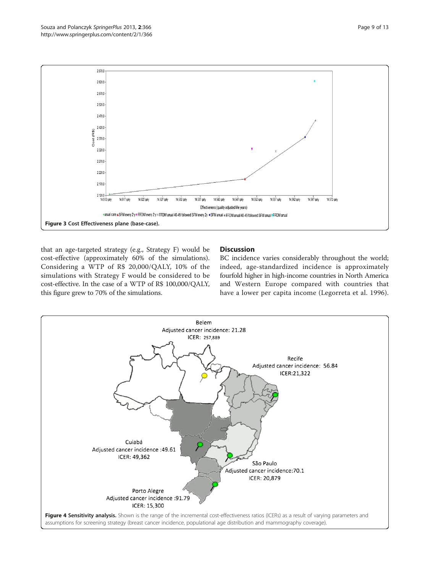<span id="page-8-0"></span>



14,517 galy

14,522 galy

14.527 galy

14.532 galy

14.537 galy

. usual care ASFM every 2 y = FFDM every 2 y x FFDM anual 40-49 followed SFM every 2y +SFM anual + FFDM anual 40-49 followed SFM anual IFFDM anual

14.542 galy

Effectiveness (quality-adjusted life years)

Figure 3 Cost Effectiveness plane (base-case).

2.170,0  $2.120$ 14,512 galy

#### **Discussion**

14,547 galy

14.552 galy

14,557 galy

BC incidence varies considerably throughout the world; indeed, age-standardized incidence is approximately fourfold higher in high-income countries in North America and Western Europe compared with countries that have a lower per capita income (Legorreta et al. [1996](#page-11-0)).

14.567 galy

14.562 galv

14,572 galy

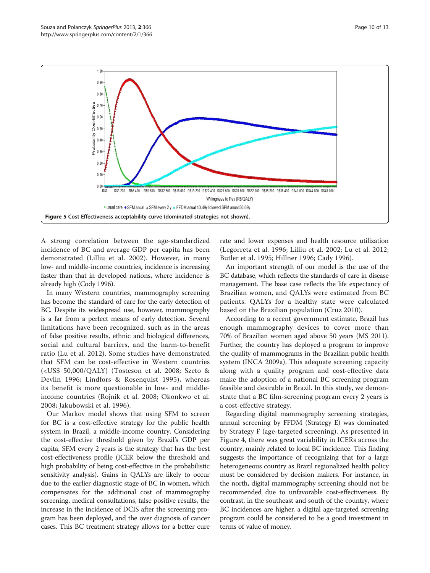<span id="page-9-0"></span>

A strong correlation between the age-standardized incidence of BC and average GDP per capita has been demonstrated (Lilliu et al. [2002\)](#page-11-0). However, in many low- and middle-income countries, incidence is increasing faster than that in developed nations, where incidence is already high (Cody [1996\)](#page-10-0).

In many Western countries, mammography screening has become the standard of care for the early detection of BC. Despite its widespread use, however, mammography is a far from a perfect means of early detection. Several limitations have been recognized, such as in the areas of false positive results, ethnic and biological differences, social and cultural barriers, and the harm-to-benefit ratio (Lu et al. [2012\)](#page-11-0). Some studies have demonstrated that SFM can be cost-effective in Western countries (<US\$ 50,000/QALY) (Tosteson et al. [2008;](#page-11-0) Szeto & Devlin [1996](#page-11-0); Lindfors & Rosenquist [1995](#page-11-0)), whereas its benefit is more questionable in low- and middleincome countries (Rojnik et al. [2008](#page-11-0); Okonkwo et al. [2008](#page-11-0); Jakubowski et al. [1996\)](#page-11-0).

Our Markov model shows that using SFM to screen for BC is a cost-effective strategy for the public health system in Brazil, a middle-income country. Considering the cost-effective threshold given by Brazil's GDP per capita, SFM every 2 years is the strategy that has the best cost-effectiveness profile (ICER below the threshold and high probability of being cost-effective in the probabilistic sensitivity analysis). Gains in QALYs are likely to occur due to the earlier diagnostic stage of BC in women, which compensates for the additional cost of mammography screening, medical consultations, false positive results, the increase in the incidence of DCIS after the screening program has been deployed, and the over diagnosis of cancer cases. This BC treatment strategy allows for a better cure rate and lower expenses and health resource utilization (Legorreta et al. [1996;](#page-11-0) Lilliu et al. [2002;](#page-11-0) Lu et al. [2012](#page-11-0); Butler et al. [1995;](#page-10-0) Hillner [1996;](#page-10-0) Cady [1996](#page-10-0)).

An important strength of our model is the use of the BC database, which reflects the standards of care in disease management. The base case reflects the life expectancy of Brazilian women, and QALYs were estimated from BC patients. QALYs for a healthy state were calculated based on the Brazilian population (Cruz [2010\)](#page-10-0).

According to a recent government estimate, Brazil has enough mammography devices to cover more than 70% of Brazilian women aged above 50 years (MS [2011](#page-11-0)). Further, the country has deployed a program to improve the quality of mammograms in the Brazilian public health system (INCA [2009a\)](#page-10-0). This adequate screening capacity along with a quality program and cost-effective data make the adoption of a national BC screening program feasible and desirable in Brazil. In this study, we demonstrate that a BC film-screening program every 2 years is a cost-effective strategy.

Regarding digital mammography screening strategies, annual screening by FFDM (Strategy E) was dominated by Strategy F (age-targeted screening). As presented in Figure [4](#page-8-0), there was great variability in ICERs across the country, mainly related to local BC incidence. This finding suggests the importance of recognizing that for a large heterogeneous country as Brazil regionalized health policy must be considered by decision makers. For instance, in the north, digital mammography screening should not be recommended due to unfavorable cost-effectiveness. By contrast, in the southeast and south of the country, where BC incidences are higher, a digital age-targeted screening program could be considered to be a good investment in terms of value of money.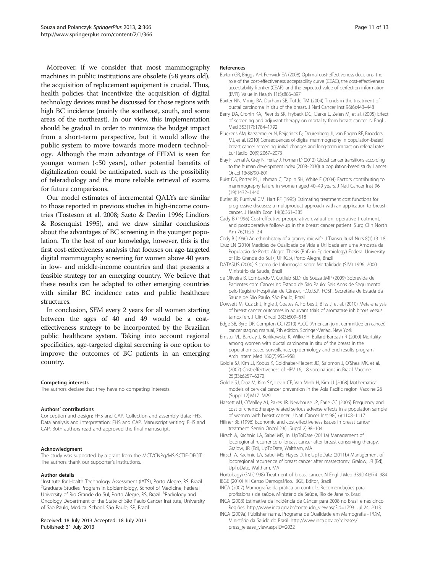<span id="page-10-0"></span>Moreover, if we consider that most mammography machines in public institutions are obsolete (>8 years old), the acquisition of replacement equipment is crucial. Thus, health policies that incentivize the acquisition of digital technology devices must be discussed for those regions with high BC incidence (mainly the southeast, south, and some areas of the northeast). In our view, this implementation should be gradual in order to minimize the budget impact from a short-term perspective, but it would allow the public system to move towards more modern technology. Although the main advantage of FFDM is seen for younger women (<50 years), other potential benefits of digitalization could be anticipated, such as the possibility of teleradiology and the more reliable retrieval of exams for future comparisons.

Our model estimates of incremental QALYs are similar to those reported in previous studies in high-income countries (Tosteson et al. [2008](#page-11-0); Szeto & Devlin [1996;](#page-11-0) Lindfors & Rosenquist [1995\)](#page-11-0), and we draw similar conclusions about the advantages of BC screening in the younger population. To the best of our knowledge, however, this is the first cost-effectiveness analysis that focuses on age-targeted digital mammography screening for women above 40 years in low- and middle-income countries and that presents a feasible strategy for an emerging country. We believe that these results can be adapted to other emerging countries with similar BC incidence rates and public healthcare structures.

In conclusion, SFM every 2 years for all women starting between the ages of 40 and 49 would be a costeffectiveness strategy to be incorporated by the Brazilian public healthcare system. Taking into account regional specificities, age-targeted digital screening is one option to improve the outcomes of BC patients in an emerging country.

#### Competing interests

The authors declare that they have no competing interests.

#### Authors' contributions

Conception and design: FHS and CAP. Collection and assembly data: FHS. Data analysis and interpretation: FHS and CAP. Manuscript writing: FHS and CAP. Both authors read and approved the final manuscript.

#### Acknowledgment

The study was supported by a grant from the MCT/CNPq/MS-SCTIE-DECIT. The authors thank our supporter's institutions.

#### Author details

<sup>1</sup>Institute for Health Technology Assessment (IATS), Porto Alegre, RS, Brazil. <sup>2</sup>Graduate Studies Program in Epidemiology, School of Medicine, Federal University of Rio Grande do Sul, Porto Alegre, RS, Brazil. <sup>3</sup>Radiology and Oncology Department of the State of São Paulo Cancer Institute, University of São Paulo, Medical School, São Paulo, SP, Brazil.

#### Received: 18 July 2013 Accepted: 18 July 2013 Published: 31 July 2013

#### References

- Barton GR, Briggs AH, Fenwick EA (2008) Optimal cost-effectiveness decisions: the role of the cost-effectiveness acceptability curve (CEAC), the cost-effectiveness acceptability frontier (CEAF), and the expected value of perfection information (EVPI). Value in Health 11(5):886–897
- Baxter NN, Virnig BA, Durham SB, Tuttle TM (2004) Trends in the treatment of ductal carcinoma in situ of the breast. J Natl Cancer Inst 96(6):443–448
- Berry DA, Cronin KA, Plevritis SK, Fryback DG, Clarke L, Zelen M, et al. (2005) Effect of screening and adjuvant therapy on mortality from breast cancer. N Engl J Med 353(17):1784–1792
- Bluekens AM, Karssemeijer N, Beijerinck D, Deurenberg JJ, van Engen RE, Broeders MJ, et al. (2010) Consequences of digital mammography in population-based breast cancer screening: initial changes and long-term impact on referral rates. Eur Radiol 20(9):2067–2073
- Bray F, Jemal A, Grey N, Ferlay J, Forman D (2012) Global cancer transitions according to the human development index (2008–2030): a population-based study. Lancet Oncol 13(8):790–801
- Buist DS, Porter PL, Lehman C, Taplin SH, White E (2004) Factors contributing to mammography failure in women aged 40–49 years. J Natl Cancer Inst 96 (19):1432–1440
- Butler JR, Furnival CM, Hart RF (1995) Estimating treatment cost functions for progressive diseases: a multiproduct approach with an application to breast cancer. J Health Econ 14(3):361–385
- Cady B (1996) Cost-effective preoperative evaluation, operative treatment, and postoperative follow-up in the breast cancer patient. Surg Clin North Am 76(1):25–34

- Cruz LN (2010) Medidas de Qualidade de Vida e Utilidade em uma Amostra da População de Porto Alegre. Thesis (PhD in Epidemiology) Federal University of Rio Grande do Sul (. UFRGS), Porto Alegre, Brazil
- DATASUS (2000) Sistema de Informação sobre Mortalidade (SIM) 1996–2000. Ministério da Saúde, Brazil
- de Oliveira B, Lombardo V, Gotlieb SLD, de Souza JMP (2009) Sobrevida de Pacientes com Câncer no Estado de São Paulo: Seis Anos de Seguimento pelo Registro Hospitalar de Câncer, F.O.d.S.P. FOSP, Secretária de Estada da Saúde de São Paulo, São Paulo, Brazil
- Dowsett M, Cuzick J, Ingle J, Coates A, Forbes J, Bliss J, et al. (2010) Meta-analysis of breast cancer outcomes in adjuvant trials of aromatase inhibitors versus tamoxifen. J Clin Oncol 28(3):509–518
- Edge SB, Byrd DR, Compton CC (2010) AJCC (American joint committee on cancer) cancer staging manual, 7th edition. Springer-Verlag, New York
- Ernster VL, Barclay J, Kerlikowske K, Wilkie H, Ballard-Barbash R (2000) Mortality among women with ductal carcinoma in situ of the breast in the population-based surveillance, epidemiology and end results program. Arch Intern Med 160(7):953–958
- Goldie SJ, Kim JJ, Kobus K, Goldhaber-Fiebert JD, Salomon J, O'Shea MK, et al. (2007) Cost-effectiveness of HPV 16, 18 vaccinations in Brazil. Vaccine 25(33):6257–6270
- Goldie SJ, Diaz M, Kim SY, Levin CE, Van Minh H, Kim JJ (2008) Mathematical models of cervical cancer prevention in the Asia Pacific region. Vaccine 26 (Suppl 12):M17–M29
- Hassett MJ, O'Malley AJ, Pakes JR, Newhouse JP, Earle CC (2006) Frequency and cost of chemotherapy-related serious adverse effects in a population sample of women with breast cancer. J Natl Cancer Inst 98(16):1108–1117
- Hillner BE (1996) Economic and cost-effectiveness issues in breast cancer treatment. Semin Oncol 23(1 Suppl 2):98–104
- Hirsch A, Kachnic LA, Sabel MS, In: UpToDate (2011a) Management of locoregional recurrence of breast cancer after breast conserving therapy. Gralow, JR (Ed), UpToDate, Waltham, MA
- Hirsch A, Kachnic LA, Sabel MS, Hayes D, In: UpToDate (2011b) Management of locoregional recurrence of breast cancer after mastectomy. Gralow, JR (Ed), UpToDate, Waltham, MA
- Hortobagyi GN (1998) Treatment of breast cancer. N Engl J Med 339(14):974–984 IBGE (2010) XII Censo Demográfico. IBGE, Editor, Brazil
- INCA (2007) Mamografia: da prática ao controle. Recomendações para profissionais de saúde. Ministério da Saúde, Rio de Janeiro, Brazil
- INCA (2008) Estimativa da incidência de Câncer para 2008 no Brasil e nas cinco Regiões. [http://www.inca.gov.br/conteudo\\_view.asp?id=1793.](http://www.inca.gov.br/conteudo_view.asp?id=1793) Jul 24, 2013
- INCA (2009a) Publisher name. Programa de Qualidade em Mamografia PQM, Ministério da Saúde do Brasil. [http://www.inca.gov.br/releases/](http://www.inca.gov.br/releases/press_release_view.asp?ID=2032) [press\\_release\\_view.asp?ID=2032](http://www.inca.gov.br/releases/press_release_view.asp?ID=2032)

Cody B (1996) An ethnohistory of a granny midwife. J Transcultural Nurs 8(1):13–18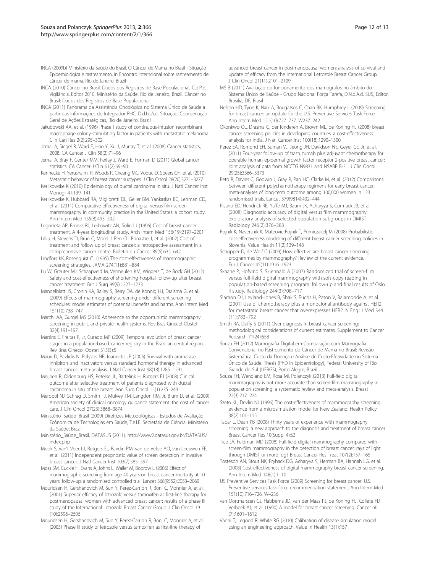- <span id="page-11-0"></span>INCA (2009b) Ministério da Saúde do Brasil. O Câncer de Mama no Brasil - Situação Epidemiológica e rastreamento, in Encontro interncional sobre rastreamento de câncer de mama, Rio de Janeiro, Brazil
- INCA (2010) Câncer no Brasil. Dados dos Registros de Base Populacional, C.d.P.e. Vigilância, Editor 2010, Ministério da Saúde, Rio de Janeiro, Brazil. Câncer no Brasil: Dados dos Registros de Base Populacional
- INCA (2011) Panorama da Assistência Oncológica no Sistema Único de Saúde a partir das Informações do Integrador RHC, D.d.I.e.A.d. Situação. Coordenação Geral de Ações Estratégicas, Rio de Janeiro, Brazil
- Jakubowski AA, et al. (1996) Phase I study of continuous-infusion recombinant macrophage colony-stimulating factor in patients with metastatic melanoma. Clin Can Res 2(2):295–302
- Jemal A, Siegel R, Ward E, Hao Y, Xu J, Murray T, et al. (2008) Cancer statistics, 2008. CA Cancer J Clin 58(2):71–96
- Jemal A, Bray F, Center MM, Ferlay J, Ward E, Forman D (2011) Global cancer statistics. CA Cancer J Clin 61(2):69–90
- Kennecke H, Yerushalmi R, Woods R, Cheang MC, Voduc D, Speers CH, et al. (2010) Metastatic behavior of breast cancer subtypes. J Clin Oncol 28(20):3271–3277
- Kerlikowske K (2010) Epidemiology of ductal carcinoma in situ. J Natl Cancer Inst Monogr 41:139–141
- Kerlikowske K, Hubbard RA, Miglioretti DL, Geller BM, Yankaskas BC, Lehman CD, et al. (2011) Comparative effectiveness of digital versus film-screen mammography in community practice in the United States: a cohort study. Ann Intern Med 155(8):493–502
- Legorreta AP, Brooks RJ, Leibowitz AN, Solin LJ (1996) Cost of breast cancer treatment. A 4-year longitudinal study. Arch Intern Med 156(19):2197–2201
- Lilliu H, Stevens D, Brun C, Morel J, Pen CL, Bonastre J, et al. (2002) Cost of treatment and follow up of breast cancer: a retrospective assessment in a comprehensive cancer centre. Bulletin du Cancer 89(6):635–642
- Lindfors KK, Rosenquist CJ (1995) The cost-effectiveness of mammographic screening strategies. JAMA 274(11):881–884
- Lu W, Greuter MJ, Schaapveld M, Vermeulen KM, Wiggers T, de Bock GH (2012) Safety and cost-effectiveness of shortening hospital follow-up after breast cancer treatment. Brit J Surg 99(9):1227–1233
- Mandelblatt JS, Cronin KA, Bailey S, Berry DA, de Konnig HJ, Draisma G, et al. (2009) Effects of mammography screening under different screening schedules: model estimates of potential benefits and harms. Ann Intern Med 151(10):738–747
- Marchi AA, Gurgel MS (2010) Adherence to the opportunistic mammography screening in public and private health systems. Rev Bras Ginecol Obstet 32(4):191–197
- Martins E, Freitas R, Jr, Curado MP (2009) Temporal evolution of breast cancer stages in a population-based cancer registry in the Brazilian central region. Rev Bras Ginecol Obstet 315(5):5
- Mauri D, Pavlidis N, Polyzos NP, Ioannidis JP (2006) Survival with aromatase inhibitors and inactivators versus standard hormonal therapy in advanced breast cancer: meta-analysis. J Natl Cancer Inst 98(18):1285–1291
- Meijnen P, Oldenburg HS, Peterse JL, Bartelink H, Rutgers EJ (2008) Clinical outcome after selective treatment of patients diagnosed with ductal carcinoma in situ of the breast. Ann Surg Oncol 15(1):235–243
- Meropol NJ, Schrag D, Smith TJ, Mulvey TM, Langdon RM, Jr, Blum D, et al. (2009) American society of clinical oncology guidance statement: the cost of cancer care. J Clin Oncol 27(23):3868–3874
- Ministério\_Saúde\_Brasil (2009) Diretrizes Metodológicas Estudos de Avaliação Ecônomica de Tecnologias em Saúde, T.e.I.E. Secretária de Ciência. Ministério da Saúde, Brazil
- Ministério\_Saúde\_Brasil, DATASUS (2011). [http://www2.datasus.gov.br/DATASUS/](http://www2.datasus.gov.br/DATASUS/index.php) [index.php](http://www2.datasus.gov.br/DATASUS/index.php)
- Mook S, Van't Veer LJ, Rutgers EJ, Ravdin PM, van de Velde AO, van Leeuwen FE, et al. (2011) Independent prognostic value of screen detection in invasive breast cancer. J Natl Cancer Inst 103(7):585–597
- Moss SM, Cuckle H, Evans A, Johns L, Waller M, Bobrow L (2006) Effect of mammographic screening from age 40 years on breast cancer mortality at 10 years' follow-up: a randomised controlled trial. Lancet 368(9552):2053–2060
- Mouridsen H, Gershanovich M, Sun Y, Perez-Carrion R, Boni C, Monnier A, et al. (2001) Superior efficacy of letrozole versus tamoxifen as first-line therapy for postmenopausal women with advanced breast cancer: results of a phase III study of the International Letrozole Breast Cancer Group. J Clin Oncol 19 (10):2596–2606
- Mouridsen H, Gershanovich M, Sun Y, Perez-Carrion R, Boni C, Monnier A, et al. (2003) Phase III study of letrozole versus tamoxifen as first-line therapy of

advanced breast cancer in postmenopausal women: analysis of survival and update of efficacy from the International Letrozole Breast Cancer Group. J Clin Oncol 21(11):2101–2109

- MS B (2011) Avaliação do funcionamento dos mamográfos no âmbito do Sistema Único de Saúde - Grupo Nacional Força Tarefa, D.N.d.A.d. SUS, Editor, Brasilia, DF, Brasil
- Nelson HD, Tyne K, Naik A, Bougatsos C, Chan BK, Humphrey L (2009) Screening for breast cancer: an update for the U.S. Preventive Services Task Force. Ann Intern Med 151(10):727–737. W237–242
- Okonkwo QL, Drasma G, der Kinderen A, Brown ML, de Koning HJ (2008) Breast cancer screening policies in developing countries: a cost-effectiveness analysis for India. J Natl Cancer Inst 100(18):1290–1300
- Perez EA, Romond EH, Suman VJ, Jeong JH, Davidson NE, Geyer CE, Jr, et al. (2011) Four-year follow-up of trastuzumab plus adjuvant chemotherapy for operable human epidermal growth factor receptor 2-positive breast cancer: joint analysis of data from NCCTG N9831 and NSABP B-31. J Clin Oncol 29(25):3366–3373
- Peto R, Davies C, Godwin J, Gray R, Pan HC, Clarke M, et al. (2012) Comparisons between different polychemotherapy regimens for early breast cancer: meta-analyses of long-term outcome among 100,000 women in 123 randomised trials. Lancet 379(9814):432–444
- Pisano ED, Hendrick RE, Yaffe MJ, Baum JK, Acharyya S, Cormack JB, et al. (2008) Diagnostic accuracy of digital versus film mammography: exploratory analysis of selected population subgroups in DMIST. Radiology 246(2):376–383
- Rojnik K, Naversnik K, Mateovic-Rojnik T, Primiczakelj M (2008) Probabilistic cost-effectiveness modeling of different breast cancer screening policies in Slovenia. Value Health 11(2):139–148
- Schopper D, de Wolf C (2009) How effective are breast cancer screening programmes by mammography? Review of the current evidence. Eur J Cancer 45(11):1916–1923
- Skaane P, Hofvind S, Skjennald A (2007) Randomized trial of screen-film versus full-field digital mammography with soft-copy reading in population-based screening program: follow-up and final results of Oslo II study. Radiology 244(3):708–717
- Slamon DJ, Leyland-Jones B, Shak S, Fuchs H, Paton V, Bajamonde A, et al. (2001) Use of chemotherapy plus a monoclonal antibody against HER2 for metastatic breast cancer that overexpresses HER2. N Engl J Med 344 (11):783–792
- Smith RA, Duffy S (2011) Over diagnosis in breast cancer screening: methodological considerations of current estimates. Supplement to Cancer Research 71(24):658
- Souza FH (2012) Mamografia Digital em Comparação com Mamografia Convencional no Rastreamento do Câncer de Mama no Brasil: Revisão Sistemática, Custo da Doença e Análise de Custo-Efetividade no Sistema Único de Saúde. Thesis (PhD in Epidemiology), Federal University of Rio Grande do Sul (UFRGS), Porto Alegre, Brazil
- Souza FH, Wendland EM, Rosa MI, Polanczyk (2013) Full-field digital mammography is not more accurate than screen-film mammography in population screening: a systematic review and meta-analysis. Breast 22(3):217–224
- Szeto KL, Devlin NJ (1996) The cost-effectiveness of mammography screening: evidence from a microsimulation model for New Zealand. Health Policy 38(2):101–115
- Tabar L, Dean PB (2008) Thirty years of experience with mammography screening: a new approach to the diagnosis and treatment of breast cancer. Breast Cancer Res 10(Suppl 4):S3
- Tice JA, Feldman MD (2008) Full-field digital mammography compared with screen-film mammography in the detection of breast cancer: rays of light through DMIST or more fog? Breast Cancer Res Treat 107(2):157–165
- Tosteson AN, Stout NK, Fryback DG, Acharyya S, Herman BA, Hannah LG, et al. (2008) Cost-effectiveness of digital mammography breast cancer screening. Ann Intern Med 148(1):1–10
- US Preventive Services Task Force (2009) Screening for breast cancer: U.S. Preventive services task force recommendation statement. Ann Intern Med 151(10):716–726. W–236
- van Oortmarssen GJ, Habbema JD, van der Maas PJ, de Koning HJ, Collete HJ, Verbeek AJ, et al. (1990) A model for breast cancer screening. Cancer 66 (7):1601–1612
- Vanni T, Legood R, White RG (2010) Calibration of disease simulation model using an engineering approach. Value in Health 13(1):157